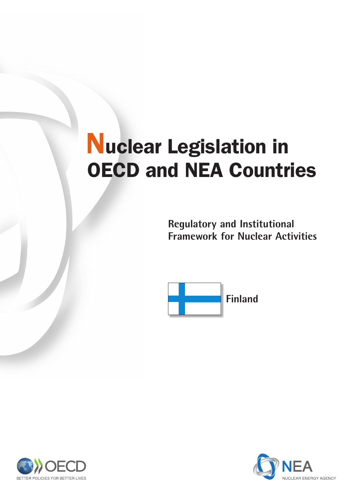# Nuclear Legislation in OECD and NEA Countries

**Regulatory and Institutional Framework for Nuclear Activities**



BETTER POLICIES FOR BETTER LIVES

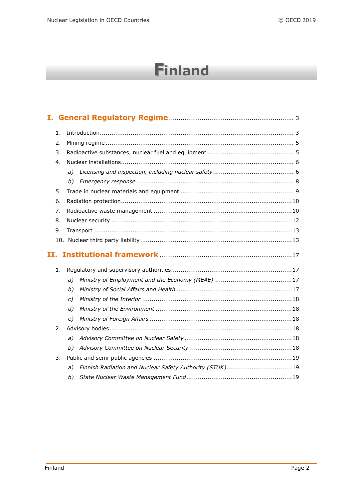# **Finland**

|    | 1. |               |                                                         |
|----|----|---------------|---------------------------------------------------------|
| 2. |    |               |                                                         |
| 3. |    |               |                                                         |
|    | 4. |               |                                                         |
|    |    | a)            |                                                         |
|    |    | b)            |                                                         |
|    | 5. |               |                                                         |
|    | 6. |               |                                                         |
|    | 7. |               |                                                         |
|    | 8. |               |                                                         |
|    | 9. |               |                                                         |
|    |    |               |                                                         |
|    |    |               |                                                         |
|    |    |               |                                                         |
|    | 1. |               |                                                         |
|    |    | a)            |                                                         |
|    |    | b)            |                                                         |
|    |    | $\mathcal{C}$ |                                                         |
|    |    | d)            |                                                         |
|    |    | e)            |                                                         |
|    | 2. |               |                                                         |
|    |    | a)            |                                                         |
|    |    | b)            |                                                         |
|    | 3. |               |                                                         |
|    |    | a)            | Finnish Radiation and Nuclear Safety Authority (STUK)19 |
|    |    | b)            |                                                         |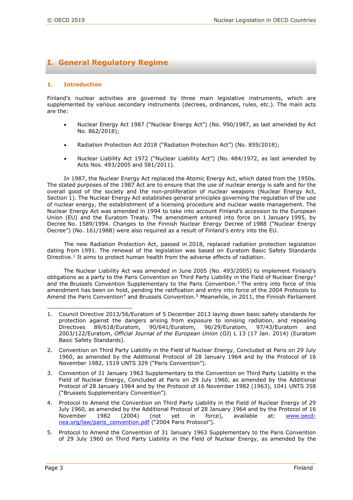## **I. General Regulatory Regime**

#### **1. Introduction**

Finland's nuclear activities are governed by three main legislative instruments, which are supplemented by various secondary instruments (decrees, ordinances, rules, etc.). The main acts are the:

- Nuclear Energy Act 1987 ("Nuclear Energy Act") (No. 990/1987, as last amended by Act No. 862/2018);
- Radiation Protection Act 2018 ("Radiation Protection Act") (No. 859/2018);
- Nuclear Liability Act 1972 ("Nuclear Liability Act") (No. 484/1972, as last amended by Acts Nos. 493/2005 and 581/2011).

In 1987, the Nuclear Energy Act replaced the Atomic Energy Act, which dated from the 1950s. The stated purposes of the 1987 Act are to ensure that the use of nuclear energy is safe and for the overall good of the society and the non-proliferation of nuclear weapons (Nuclear Energy Act, Section 1). The Nuclear Energy Act establishes general principles governing the regulation of the use of nuclear energy, the establishment of a licensing procedure and nuclear waste management. The Nuclear Energy Act was amended in 1994 to take into account Finland's accession to the European Union (EU) and the Euratom Treaty. The amendment entered into force on 1 January 1995, by Decree No. 1589/1994. Changes to the Finnish Nuclear Energy Decree of 1988 ("Nuclear Energy Decree") (No. 161/1988) were also required as a result of Finland's entry into the EU.

The new Radiation Protection Act, passed in 2018, replaced radiation protection legislation dating from 1991. The renewal of the legislation was based on Euratom Basic Safety Standards Directive.<sup>[1](#page-2-0)</sup> It aims to protect human health from the adverse effects of radiation.

The Nuclear Liability Act was amended in June 2005 (No. 493/2005) to implement Finland's obligations as a party to the Paris Convention on Third Party Liability in the Field of Nuclear Energy<sup>[2](#page-2-1)</sup> and the Brussels Convention Supplementary to the Paris Convention.<sup>[3](#page-2-2)</sup> The entry into force of this amendment has been on hold, pending the ratification and entry into force of the 2004 Protocols to Amend the Paris Convention<sup>[4](#page-2-3)</sup> and Brussels Convention.<sup>[5](#page-2-4)</sup> Meanwhile, in 2011, the Finnish Parliament

- <span id="page-2-0"></span>i<br>I 1. Council Directive 2013/56/Euratom of 5 December 2013 laying down basic safety standards for protection against the dangers arising from exposure to ionising radiation, and repealing Directives 89/618/Euratom, 90/641/Euratom, 96/29/Euratom, 97/43/Euratom and 2003/122/Euratom, *Official Journal of the European Union* (OJ) L 13 (17 Jan. 2014) (Euratom Basic Safety Standards).
- <span id="page-2-1"></span>2. Convention on Third Party Liability in the Field of Nuclear Energy, Concluded at Paris on 29 July 1960, as amended by the Additional Protocol of 28 January 1964 and by the Protocol of 16 November 1982, 1519 UNTS 329 ("Paris Convention").
- <span id="page-2-2"></span>3. Convention of 31 January 1963 Supplementary to the Convention on Third Party Liability in the Field of Nuclear Energy, Concluded at Paris on 29 July 1960, as amended by the Additional Protocol of 28 January 1964 and by the Protocol of 16 November 1982 (1963), 1041 UNTS 358 ("Brussels Supplementary Convention").
- <span id="page-2-3"></span>4. Protocol to Amend the Convention on Third Party Liability in the Field of Nuclear Energy of 29 July 1960, as amended by the Additional Protocol of 28 January 1964 and by the Protocol of 16<br>November 1982 (2004) (not vet in force), available at: www.oecdNovember 1982 (2004) (not yet in force), available at: [www.oecd](file://nasnea/groups/OLC/Legal%20Affairs%20Section%20Files/PUBLICATION%20PROGRAMME/Grand%20Orange/Countries/Finland/2018/www.oecd-nea.org/law/paris_convention.pdf)[nea.org/law/paris\\_convention.pdf](file://nasnea/groups/OLC/Legal%20Affairs%20Section%20Files/PUBLICATION%20PROGRAMME/Grand%20Orange/Countries/Finland/2018/www.oecd-nea.org/law/paris_convention.pdf) ("2004 Paris Protocol").
- <span id="page-2-4"></span>5. Protocol to Amend the Convention of 31 January 1963 Supplementary to the Paris Convention of 29 July 1960 on Third Party Liability in the Field of Nuclear Energy, as amended by the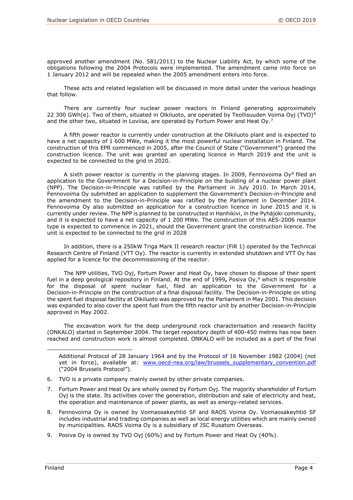approved another amendment (No. 581/2011) to the Nuclear Liability Act, by which some of the obligations following the 2004 Protocols were implemented. The amendment came into force on 1 January 2012 and will be repealed when the 2005 amendment enters into force.

These acts and related legislation will be discussed in more detail under the various headings that follow.

There are currently four nuclear power reactors in Finland generating approximately 22 300 GWh(e). Two of them, situated in Olkiluoto, are operated by Teollisuuden Voima Oyj (TVO)<sup>[6](#page-3-0)</sup> and the other two, situated in Loviisa, are operated by Fortum Power and Heat Oy.<sup>[7](#page-3-1)</sup>

A fifth power reactor is currently under construction at the Olkiluoto plant and is expected to have a net capacity of 1 600 MWe, making it the most powerful nuclear installation in Finland. The construction of this EPR commenced in 2005, after the Council of State ("Government") granted the construction licence. The unit was granted an operating licence in March 2019 and the unit is expected to be connected to the grid in 2020.

A sixth power reactor is currently in the planning stages. In 2009, Fennovoima Oy<sup>[8](#page-3-2)</sup> filed an application to the Government for a Decision-in-Principle on the building of a nuclear power plant (NPP). The Decision-in-Principle was ratified by the Parliament in July 2010. In March 2014, Fennovoima Oy submitted an application to supplement the Government's Decision-in-Principle and the amendment to the Decision-in-Principle was ratified by the Parliament in December 2014. Fennovoima Oy also submitted an application for a construction licence in June 2015 and it is currently under review. The NPP is planned to be constructed in Hanhikivi, in the Pyhäjoki community, and it is expected to have a net capacity of 1 200 MWe. The construction of this AES-2006 reactor type is expected to commence in 2021, should the Government grant the construction licence. The unit is expected to be connected to the grid in 2028

In addition, there is a 250kW Triga Mark II research reactor (FiR 1) operated by the Technical Research Centre of Finland (VTT Oy). The reactor is currently in extended shutdown and VTT Oy has applied for a licence for the decommissioning of the reactor.

The NPP utilities, TVO Oyj, Fortum Power and Heat Oy, have chosen to dispose of their spent fuel in a deep geological repository in Finland. At the end of 1999**,** Posiva Oy,[9](#page-3-3) which is responsible for the disposal of spent nuclear fuel, filed an application to the Government for a Decision-in-Principle on the construction of a final disposal facility. The Decision-in-Principle on siting the spent fuel disposal facility at Olkiluoto was approved by the Parliament in May 2001. This decision was expanded to also cover the spent fuel from the fifth reactor unit by another Decision-in-Principle approved in May 2002.

The excavation work for the deep underground rock characterisation and research facility (ONKALO) started in September 2004. The target repository depth of 400-450 metres has now been reached and construction work is almost completed. ONKALO will be included as a part of the final

Additional Protocol of 28 January 1964 and by the Protocol of 16 November 1982 (2004) (not yet in force), available at: www.oecd-nea.org/law/brussels supplementary convention.pdf ("2004 Brussels Protocol").

- <span id="page-3-0"></span>6. TVO is a private company mainly owned by other private companies.
- <span id="page-3-1"></span>7. Fortum Power and Heat Oy are wholly owned by Fortum Oyj. The majority shareholder of Fortum Oyj is the state. Its activities cover the generation, distribution and sale of electricity and heat, the operation and maintenance of power plants, as well as energy-related services.
- <span id="page-3-2"></span>8. Fennovoima Oy is owned by Voimaosakeyhtiö SF and RAOS Voima Oy. Voimaosakeyhtiö SF includes industrial and trading companies as well as local energy utilities which are mainly owned by municipalities. RAOS Voima Oy is a subsidiary of JSC Rusatom Overseas.
- <span id="page-3-3"></span>9. Posiva Oy is owned by TVO Oyj (60%) and by Fortum Power and Heat Oy (40%).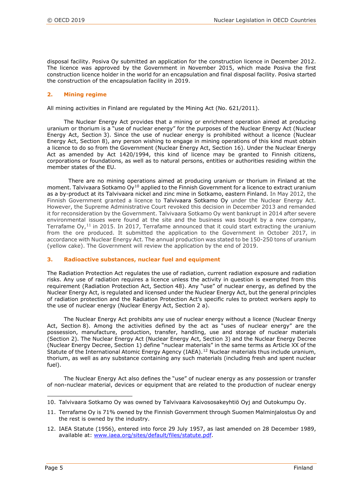disposal facility. Posiva Oy submitted an application for the construction licence in December 2012. The licence was approved by the Government in November 2015, which made Posiva the first construction licence holder in the world for an encapsulation and final disposal facility. Posiva started the construction of the encapsulation facility in 2019.

#### **2. Mining regime**

All mining activities in Finland are regulated by the Mining Act (No. 621/2011).

The Nuclear Energy Act provides that a mining or enrichment operation aimed at producing uranium or thorium is a "use of nuclear energy" for the purposes of the Nuclear Energy Act (Nuclear Energy Act, Section 3). Since the use of nuclear energy is prohibited without a licence (Nuclear Energy Act, Section 8), any person wishing to engage in mining operations of this kind must obtain a licence to do so from the Government (Nuclear Energy Act, Section 16). Under the Nuclear Energy Act as amended by Act 1420/1994, this kind of licence may be granted to Finnish citizens, corporations or foundations, as well as to natural persons, entities or authorities residing within the member states of the EU.

There are no mining operations aimed at producing uranium or thorium in Finland at the moment. Talvivaara Sotkamo  $Oy^{10}$  $Oy^{10}$  $Oy^{10}$  applied to the Finnish Government for a licence to extract uranium as a by-product at its Talvivaara nickel and zinc mine in Sotkamo, eastern Finland. In May 2012, the Finnish Government granted a licence to Talvivaara Sotkamo Oy under the Nuclear Energy Act. However, the Supreme Administrative Court revoked this decision in December 2013 and remanded it for reconsideration by the Government. Talvivaara Sotkamo Oy went bankrupt in 2014 after severe environmental issues were found at the site and the business was bought by a new company, Terrafame Oy,<sup>[11](#page-4-1)</sup> in 2015. In 2017, Terrafame announced that it could start extracting the uranium from the ore produced. It submitted the application to the Government in October 2017, in accordance with Nuclear Energy Act. The annual production was stated to be 150-250 tons of uranium (yellow cake). The Government will review the application by the end of 2019.

#### **3. Radioactive substances, nuclear fuel and equipment**

The Radiation Protection Act regulates the use of radiation, current radiation exposure and radiation risks. Any use of radiation requires a licence unless the activity in question is exempted from this requirement (Radiation Protection Act, Section 48). Any "use" of nuclear energy, as defined by the Nuclear Energy Act, is regulated and licensed under the Nuclear Energy Act, but the general principles of radiation protection and the Radiation Protection Act's specific rules to protect workers apply to the use of nuclear energy (Nuclear Energy Act, Section 2 a).

The Nuclear Energy Act prohibits any use of nuclear energy without a licence (Nuclear Energy Act, Section 8). Among the activities defined by the act as "uses of nuclear energy" are the possession, manufacture, production, transfer, handling, use and storage of nuclear materials (Section 2). The Nuclear Energy Act (Nuclear Energy Act, Section 3) and the Nuclear Energy Decree (Nuclear Energy Decree, Section 1) define "nuclear materials" in the same terms as Article XX of the Statute of the International Atomic Energy Agency (IAEA).<sup>[12](#page-4-2)</sup> Nuclear materials thus include uranium, thorium, as well as any substance containing any such materials (including fresh and spent nuclear fuel).

The Nuclear Energy Act also defines the "use" of nuclear energy as any possession or transfer of non-nuclear material, devices or equipment that are related to the production of nuclear energy

<span id="page-4-0"></span><sup>10.</sup> Talvivaara Sotkamo Oy was owned by Talvivaara Kaivososakeyhtiö Oyj and Outokumpu Oy.

<span id="page-4-1"></span><sup>11.</sup> Terrafame Oy is 71% owned by the Finnish Government through Suomen Malminjalostus Oy and the rest is owned by the industry.

<span id="page-4-2"></span><sup>12.</sup> IAEA Statute (1956), entered into force 29 July 1957, as last amended on 28 December 1989, available at: [www.iaea.org/sites/default/files/statute.pdf.](http://www.iaea.org/sites/default/files/statute.pdf)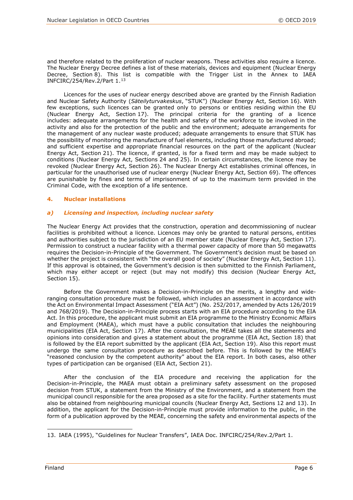and therefore related to the proliferation of nuclear weapons. These activities also require a licence. The Nuclear Energy Decree defines a list of these materials, devices and equipment (Nuclear Energy Decree, Section 8). This list is compatible with the Trigger List in the Annex to IAEA INFCIRC/254/Rev.2/Part 1.[13](#page-5-0)

Licences for the uses of nuclear energy described above are granted by the Finnish Radiation and Nuclear Safety Authority (*Säteilyturvakeskus*, "STUK") (Nuclear Energy Act, Section 16). With few exceptions, such licences can be granted only to persons or entities residing within the EU (Nuclear Energy Act, Section 17). The principal criteria for the granting of a licence includes: adequate arrangements for the health and safety of the workforce to be involved in the activity and also for the protection of the public and the environment; adequate arrangements for the management of any nuclear waste produced; adequate arrangements to ensure that STUK has the possibility of monitoring the manufacture of fuel elements, including those manufactured abroad; and sufficient expertise and appropriate financial resources on the part of the applicant (Nuclear Energy Act, Section 21). The licence, if granted, is for a fixed term and may be made subject to conditions (Nuclear Energy Act, Sections 24 and 25). In certain circumstances, the licence may be revoked (Nuclear Energy Act, Section 26). The Nuclear Energy Act establishes criminal offences, in particular for the unauthorised use of nuclear energy (Nuclear Energy Act, Section 69). The offences are punishable by fines and terms of imprisonment of up to the maximum term provided in the Criminal Code, with the exception of a life sentence.

#### **4. Nuclear installations**

#### *a) Licensing and inspection, including nuclear safety*

The Nuclear Energy Act provides that the construction, operation and decommissioning of nuclear facilities is prohibited without a licence. Licences may only be granted to natural persons, entities and authorities subject to the jurisdiction of an EU member state (Nuclear Energy Act, Section 17). Permission to construct a nuclear facility with a thermal power capacity of more than 50 megawatts requires the Decision-in-Principle of the Government. The Government's decision must be based on whether the project is consistent with "the overall good of society" (Nuclear Energy Act, Section 11). If this approval is obtained, the Government's decision is then submitted to the Finnish Parliament, which may either accept or reject (but may not modify) this decision (Nuclear Energy Act, Section 15).

Before the Government makes a Decision-in-Principle on the merits, a lengthy and wideranging consultation procedure must be followed, which includes an assessment in accordance with the Act on Environmental Impact Assessment ("EIA Act") (No. 252/2017, amended by Acts 126/2019 and 768/2019). The Decision-in-Principle process starts with an EIA procedure according to the EIA Act. In this procedure, the applicant must submit an EIA programme to the Ministry Economic Affairs and Employment (MAEA), which must have a public consultation that includes the neighbouring municipalities (EIA Act, Section 17). After the consultation, the MEAE takes all the statements and opinions into consideration and gives a statement about the programme (EIA Act, Section 18) that is followed by the EIA report submitted by the applicant (EIA Act, Section 19). Also this report must undergo the same consultation procedure as described before. This is followed by the MEAE's "reasoned conclusion by the competent authority" about the EIA report. In both cases, also other types of participation can be organised (EIA Act, Section 21).

After the conclusion of the EIA procedure and receiving the application for the Decision-in-Principle, the MAEA must obtain a preliminary safety assessment on the proposed decision from STUK, a statement from the Ministry of the Environment, and a statement from the municipal council responsible for the area proposed as a site for the facility. Further statements must also be obtained from neighbouring municipal councils (Nuclear Energy Act, Sections 12 and 13). In addition, the applicant for the Decision-in-Principle must provide information to the public, in the form of a publication approved by the MEAE, concerning the safety and environmental aspects of the

<span id="page-5-0"></span>i<br>I 13. IAEA (1995), "Guidelines for Nuclear Transfers", IAEA Doc. INFCIRC/254/Rev.2/Part 1.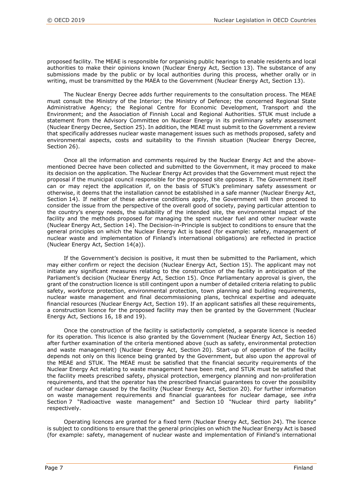proposed facility. The MEAE is responsible for organising public hearings to enable residents and local authorities to make their opinions known (Nuclear Energy Act, Section 13). The substance of any submissions made by the public or by local authorities during this process, whether orally or in writing, must be transmitted by the MAEA to the Government (Nuclear Energy Act, Section 13).

The Nuclear Energy Decree adds further requirements to the consultation process. The MEAE must consult the Ministry of the Interior; the Ministry of Defence; the concerned Regional State Administrative Agency; the Regional Centre for Economic Development, Transport and the Environment; and the Association of Finnish Local and Regional Authorities. STUK must include a statement from the Advisory Committee on Nuclear Energy in its preliminary safety assessment (Nuclear Energy Decree, Section 25). In addition, the MEAE must submit to the Government a review that specifically addresses nuclear waste management issues such as methods proposed, safety and environmental aspects, costs and suitability to the Finnish situation (Nuclear Energy Decree, Section 26).

Once all the information and comments required by the Nuclear Energy Act and the abovementioned Decree have been collected and submitted to the Government, it may proceed to make its decision on the application. The Nuclear Energy Act provides that the Government must reject the proposal if the municipal council responsible for the proposed site opposes it. The Government itself can or may reject the application if, on the basis of STUK's preliminary safety assessment or otherwise, it deems that the installation cannot be established in a safe manner (Nuclear Energy Act, Section 14). If neither of these adverse conditions apply, the Government will then proceed to consider the issue from the perspective of the overall good of society, paying particular attention to the country's energy needs, the suitability of the intended site, the environmental impact of the facility and the methods proposed for managing the spent nuclear fuel and other nuclear waste (Nuclear Energy Act, Section 14). The Decision-in-Principle is subject to conditions to ensure that the general principles on which the Nuclear Energy Act is based (for example: safety, management of nuclear waste and implementation of Finland's international obligations) are reflected in practice (Nuclear Energy Act, Section 14(a)).

If the Government's decision is positive, it must then be submitted to the Parliament, which may either confirm or reject the decision (Nuclear Energy Act, Section 15). The applicant may not initiate any significant measures relating to the construction of the facility in anticipation of the Parliament's decision (Nuclear Energy Act, Section 15). Once Parliamentary approval is given, the grant of the construction licence is still contingent upon a number of detailed criteria relating to public safety, workforce protection, environmental protection, town planning and building requirements, nuclear waste management and final decommissioning plans, technical expertise and adequate financial resources (Nuclear Energy Act, Section 19). If an applicant satisfies all these requirements, a construction licence for the proposed facility may then be granted by the Government (Nuclear Energy Act, Sections 16, 18 and 19).

Once the construction of the facility is satisfactorily completed, a separate licence is needed for its operation. This licence is also granted by the Government (Nuclear Energy Act, Section 16) after further examination of the criteria mentioned above (such as safety, environmental protection and waste management) (Nuclear Energy Act, Section 20). Start-up of operation of the facility depends not only on this licence being granted by the Government, but also upon the approval of the MEAE and STUK. The MEAE must be satisfied that the financial security requirements of the Nuclear Energy Act relating to waste management have been met, and STUK must be satisfied that the facility meets prescribed safety, physical protection, emergency planning and non-proliferation requirements, and that the operator has the prescribed financial guarantees to cover the possibility of nuclear damage caused by the facility (Nuclear Energy Act, Section 20). For further information on waste management requirements and financial guarantees for nuclear damage, see *infra* Section 7 "Radioactive waste management" and Section 10 "Nuclear third party liability" respectively.

Operating licences are granted for a fixed term (Nuclear Energy Act, Section 24). The licence is subject to conditions to ensure that the general principles on which the Nuclear Energy Act is based (for example: safety, management of nuclear waste and implementation of Finland's international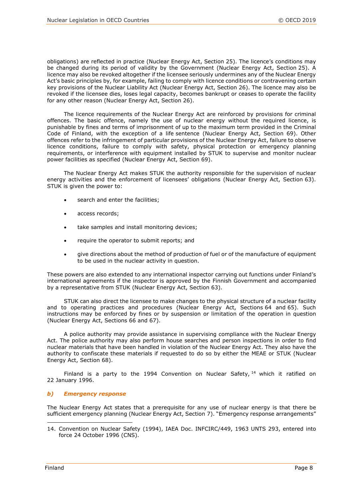obligations) are reflected in practice (Nuclear Energy Act, Section 25). The licence's conditions may be changed during its period of validity by the Government (Nuclear Energy Act, Section 25). A licence may also be revoked altogether if the licensee seriously undermines any of the Nuclear Energy Act's basic principles by, for example, failing to comply with licence conditions or contravening certain key provisions of the Nuclear Liability Act (Nuclear Energy Act, Section 26). The licence may also be revoked if the licensee dies, loses legal capacity, becomes bankrupt or ceases to operate the facility for any other reason (Nuclear Energy Act, Section 26).

The licence requirements of the Nuclear Energy Act are reinforced by provisions for criminal offences. The basic offence, namely the use of nuclear energy without the required licence, is punishable by fines and terms of imprisonment of up to the maximum term provided in the Criminal Code of Finland, with the exception of a life sentence (Nuclear Energy Act, Section 69). Other offences refer to the infringement of particular provisions of the Nuclear Energy Act, failure to observe licence conditions, failure to comply with safety, physical protection or emergency planning requirements, or interference with equipment installed by STUK to supervise and monitor nuclear power facilities as specified (Nuclear Energy Act, Section 69).

The Nuclear Energy Act makes STUK the authority responsible for the supervision of nuclear energy activities and the enforcement of licensees' obligations (Nuclear Energy Act, Section 63). STUK is given the power to:

- search and enter the facilities;
- access records;
- take samples and install monitoring devices;
- require the operator to submit reports; and
- give directions about the method of production of fuel or of the manufacture of equipment to be used in the nuclear activity in question.

These powers are also extended to any international inspector carrying out functions under Finland's international agreements if the inspector is approved by the Finnish Government and accompanied by a representative from STUK (Nuclear Energy Act, Section 63).

STUK can also direct the licensee to make changes to the physical structure of a nuclear facility and to operating practices and procedures (Nuclear Energy Act, Sections 64 and 65). Such instructions may be enforced by fines or by suspension or limitation of the operation in question (Nuclear Energy Act, Sections 66 and 67).

A police authority may provide assistance in supervising compliance with the Nuclear Energy Act. The police authority may also perform house searches and person inspections in order to find nuclear materials that have been handled in violation of the Nuclear Energy Act. They also have the authority to confiscate these materials if requested to do so by either the MEAE or STUK (Nuclear Energy Act, Section 68).

Finland is a party to the 1994 Convention on Nuclear Safety,  $14$  which it ratified on 22 January 1996.

#### *b) Emergency response*

The Nuclear Energy Act states that a prerequisite for any use of nuclear energy is that there be sufficient emergency planning (Nuclear Energy Act, Section 7). "Emergency response arrangements"

<span id="page-7-0"></span><sup>14.</sup> Convention on Nuclear Safety (1994), IAEA Doc. INFCIRC/449, 1963 UNTS 293, entered into force 24 October 1996 (CNS).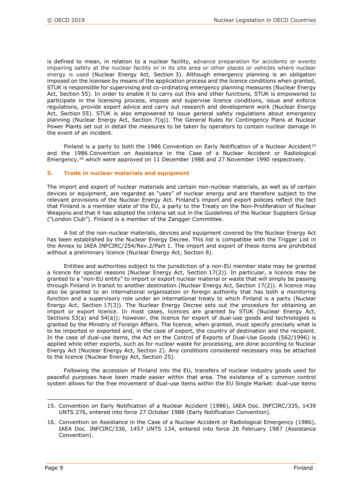is defined to mean, in relation to a nuclear facility, advance preparation for accidents or events impairing safety at the nuclear facility or in its site area or other places or vehicles where nuclear energy is used (Nuclear Energy Act, Section 3). Although emergency planning is an obligation imposed on the licensee by means of the application process and the licence conditions when granted, STUK is responsible for supervising and co-ordinating emergency planning measures (Nuclear Energy Act, Section 55). In order to enable it to carry out this and other functions, STUK is empowered to participate in the licensing process, impose and supervise licence conditions, issue and enforce regulations, provide expert advice and carry out research and development work (Nuclear Energy Act, Section 55). STUK is also empowered to issue general safety regulations about emergency planning (Nuclear Energy Act, Section 7(q)). The General Rules for Contingency Plans at Nuclear Power Plants set out in detail the measures to be taken by operators to contain nuclear damage in the event of an incident.

Finland is a party to both the 1986 Convention on Early Notification of a Nuclear Accident<sup>[15](#page-8-0)</sup> and the 1986 Convention on Assistance in the Case of a Nuclear Accident or Radiological Emergency,[16](#page-8-1) which were approved on 11 December 1986 and 27 November 1990 respectively.

#### **5. Trade in nuclear materials and equipment**

The import and export of nuclear materials and certain non-nuclear materials, as well as of certain devices or equipment, are regarded as "uses" of nuclear energy and are therefore subject to the relevant provisions of the Nuclear Energy Act. Finland's import and export policies reflect the fact that Finland is a member state of the EU, a party to the Treaty on the Non-Proliferation of Nuclear Weapons and that it has adopted the criteria set out in the Guidelines of the Nuclear Suppliers Group ("London Club"). Finland is a member of the Zangger Committee.

A list of the non-nuclear materials, devices and equipment covered by the Nuclear Energy Act has been established by the Nuclear Energy Decree. This list is compatible with the Trigger List in the Annex to IAEA INFCIRC/254/Rev.2/Part 1. The import and export of these items are prohibited without a preliminary licence (Nuclear Energy Act, Section 8).

Entities and authorities subject to the jurisdiction of a non-EU member state may be granted a licence for special reasons (Nuclear Energy Act, Section 17(2)). In particular, a licence may be granted to a "non-EU entity" to import or export nuclear material or waste that will simply be passing through Finland in transit to another destination (Nuclear Energy Act, Section 17(2)). A licence may also be granted to an international organisation or foreign authority that has both a monitoring function and a supervisory role under an international treaty to which Finland is a party (Nuclear Energy Act, Section 17(3)). The Nuclear Energy Decree sets out the procedure for obtaining an import or export licence. In most cases, licences are granted by STUK (Nuclear Energy Act, Sections 53(a) and 54(a)); however, the licence for export of dual-use goods and technologies is granted by the Ministry of Foreign Affairs. The licence, when granted, must specify precisely what is to be imported or exported and, in the case of export, the country of destination and the recipient. In the case of dual-use items, the Act on the Control of Exports of Dual-Use Goods (562/1996) is applied while other exports, such as for nuclear waste for processing, are done according to Nuclear Energy Act (Nuclear Energy Act, Section 2). Any conditions considered necessary may be attached to the licence (Nuclear Energy Act, Section 25).

Following the accession of Finland into the EU, transfers of nuclear industry goods used for peaceful purposes have been made easier within that area. The existence of a common control system allows for the free movement of dual-use items within the EU Single Market: dual-use items

<span id="page-8-0"></span><sup>15.</sup> Convention on Early Notification of a Nuclear Accident (1986), IAEA Doc. INFCIRC/335, 1439 UNTS 276, entered into force 27 October 1986 (Early Notification Convention).

<span id="page-8-1"></span><sup>16.</sup> Convention on Assistance in the Case of a Nuclear Accident or Radiological Emergency (1986), IAEA Doc. INFCIRC/336, 1457 UNTS 134, entered into force 26 February 1987 (Assistance Convention).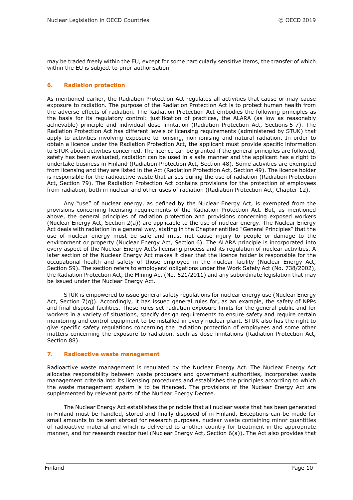may be traded freely within the EU, except for some particularly sensitive items, the transfer of which within the EU is subject to prior authorisation.

#### **6. Radiation protection**

As mentioned earlier, the Radiation Protection Act regulates all activities that cause or may cause exposure to radiation. The purpose of the Radiation Protection Act is to protect human health from the adverse effects of radiation. The Radiation Protection Act embodies the following principles as the basis for its regulatory control: justification of practices, the ALARA (as low as reasonably achievable) principle and individual dose limitation (Radiation Protection Act, Sections 5-7). The Radiation Protection Act has different levels of licensing requirements (administered by STUK) that apply to activities involving exposure to ionising, non-ionising and natural radiation. In order to obtain a licence under the Radiation Protection Act, the applicant must provide specific information to STUK about activities concerned. The licence can be granted if the general principles are followed, safety has been evaluated, radiation can be used in a safe manner and the applicant has a right to undertake business in Finland (Radiation Protection Act, Section 48). Some activities are exempted from licensing and they are listed in the Act (Radiation Protection Act, Section 49). The licence holder is responsible for the radioactive waste that arises during the use of radiation (Radiation Protection Act, Section 79). The Radiation Protection Act contains provisions for the protection of employees from radiation, both in nuclear and other uses of radiation (Radiation Protection Act, Chapter 12).

Any "use" of nuclear energy, as defined by the Nuclear Energy Act, is exempted from the provisions concerning licensing requirements of the Radiation Protection Act. But, as mentioned above, the general principles of radiation protection and provisions concerning exposed workers (Nuclear Energy Act, Section 2(a)) are applicable to the use of nuclear energy. The Nuclear Energy Act deals with radiation in a general way, stating in the Chapter entitled "General Principles" that the use of nuclear energy must be safe and must not cause injury to people or damage to the environment or property (Nuclear Energy Act, Section 6). The ALARA principle is incorporated into every aspect of the Nuclear Energy Act's licensing process and its regulation of nuclear activities. A later section of the Nuclear Energy Act makes it clear that the licence holder is responsible for the occupational health and safety of those employed in the nuclear facility (Nuclear Energy Act, Section 59). The section refers to employers' obligations under the Work Safety Act (No. 738/2002), the Radiation Protection Act, the Mining Act (No. 621/2011) and any subordinate legislation that may be issued under the Nuclear Energy Act.

STUK is empowered to issue general safety regulations for nuclear energy use (Nuclear Energy Act, Section 7(q)). Accordingly, it has issued general rules for, as an example, the safety of NPPs and final disposal facilities. These rules set radiation exposure limits for the general public and for workers in a variety of situations, specify design requirements to ensure safety and require certain monitoring and control equipment to be installed in every nuclear plant. STUK also has the right to give specific safety regulations concerning the radiation protection of employees and some other matters concerning the exposure to radiation, such as dose limitations (Radiation Protection Act, Section 88).

#### **7. Radioactive waste management**

Radioactive waste management is regulated by the Nuclear Energy Act. The Nuclear Energy Act allocates responsibility between waste producers and government authorities, incorporates waste management criteria into its licensing procedures and establishes the principles according to which the waste management system is to be financed. The provisions of the Nuclear Energy Act are supplemented by relevant parts of the Nuclear Energy Decree.

The Nuclear Energy Act establishes the principle that all nuclear waste that has been generated in Finland must be handled, stored and finally disposed of in Finland. Exceptions can be made for small amounts to be sent abroad for research purposes, nuclear waste containing minor quantities of radioactive material and which is delivered to another country for treatment in the appropriate manner, and for research reactor fuel (Nuclear Energy Act, Section 6(a)). The Act also provides that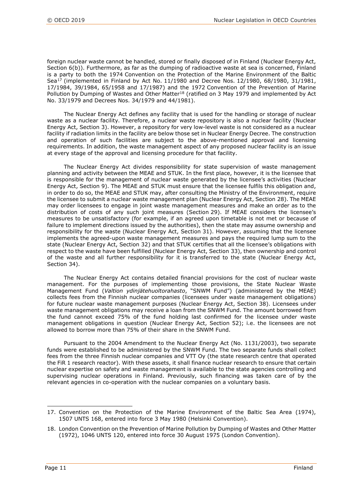foreign nuclear waste cannot be handled, stored or finally disposed of in Finland (Nuclear Energy Act, Section 6(b)). Furthermore, as far as the dumping of radioactive waste at sea is concerned, Finland is a party to both the 1974 Convention on the Protection of the Marine Environment of the Baltic Sea<sup>[17](#page-10-0)</sup> (implemented in Finland by Act No. 11/1980 and Decree Nos. 12/1980, 68/1980, 31/1981, 17/1984, 39/1984, 65/1958 and 17/1987) and the 1972 Convention of the Prevention of Marine Pollution by Dumping of Wastes and Other Matter<sup>18</sup> (ratified on 3 May 1979 and implemented by Act No. 33/1979 and Decrees Nos. 34/1979 and 44/1981).

The Nuclear Energy Act defines any facility that is used for the handling or storage of nuclear waste as a nuclear facility. Therefore, a nuclear waste repository is also a nuclear facility (Nuclear Energy Act, Section 3). However, a repository for very low-level waste is not considered as a nuclear facility if radiation limits in the facility are below those set in Nuclear Energy Decree. The construction and operation of such facilities are subject to the above-mentioned approval and licensing requirements. In addition, the waste management aspect of any proposed nuclear facility is an issue at every stage of the approval and licensing procedure for that facility.

The Nuclear Energy Act divides responsibility for state supervision of waste management planning and activity between the MEAE and STUK. In the first place, however, it is the licensee that is responsible for the management of nuclear waste generated by the licensee's activities (Nuclear Energy Act, Section 9). The MEAE and STUK must ensure that the licensee fulfils this obligation and, in order to do so, the MEAE and STUK may, after consulting the Ministry of the Environment, require the licensee to submit a nuclear waste management plan (Nuclear Energy Act, Section 28). The MEAE may order licensees to engage in joint waste management measures and make an order as to the distribution of costs of any such joint measures (Section 29). If MEAE considers the licensee's measures to be unsatisfactory (for example, if an agreed upon timetable is not met or because of failure to implement directions issued by the authorities), then the state may assume ownership and responsibility for the waste (Nuclear Energy Act, Section 31). However, assuming that the licensee implements the agreed-upon waste management measures and pays the required lump sum to the state (Nuclear Energy Act, Section 32) and that STUK certifies that all the licensee's obligations with respect to the waste have been fulfilled (Nuclear Energy Act, Section 33), then ownership and control of the waste and all further responsibility for it is transferred to the state (Nuclear Energy Act, Section 34).

The Nuclear Energy Act contains detailed financial provisions for the cost of nuclear waste management. For the purposes of implementing those provisions, the State Nuclear Waste Management Fund (*Valtion ydinjätehuoltorahasto*, "SNWM Fund") (administered by the MEAE) collects fees from the Finnish nuclear companies (licensees under waste management obligations) for future nuclear waste management purposes (Nuclear Energy Act, Section 38). Licensees under waste management obligations may receive a loan from the SNWM Fund. The amount borrowed from the fund cannot exceed 75% of the fund holding last confirmed for the licensee under waste management obligations in question (Nuclear Energy Act, Section 52); i.e. the licensees are not allowed to borrow more than 75% of their share in the SNWM Fund.

Pursuant to the 2004 Amendment to the Nuclear Energy Act (No. 1131/2003), two separate funds were established to be administered by the SNWM Fund. The two separate funds shall collect fees from the three Finnish nuclear companies and VTT Oy (the state research centre that operated the FiR 1 research reactor). With these assets, it shall finance nuclear research to ensure that certain nuclear expertise on safety and waste management is available to the state agencies controlling and supervising nuclear operations in Finland. Previously, such financing was taken care of by the relevant agencies in co-operation with the nuclear companies on a voluntary basis.

<span id="page-10-0"></span><sup>17.</sup> Convention on the Protection of the Marine Environment of the Baltic Sea Area (1974), 1507 UNTS 168, entered into force 3 May 1980 (Helsinki Convention).

<span id="page-10-1"></span><sup>18.</sup> London Convention on the Prevention of Marine Pollution by Dumping of Wastes and Other Matter (1972), 1046 UNTS 120, entered into force 30 August 1975 (London Convention).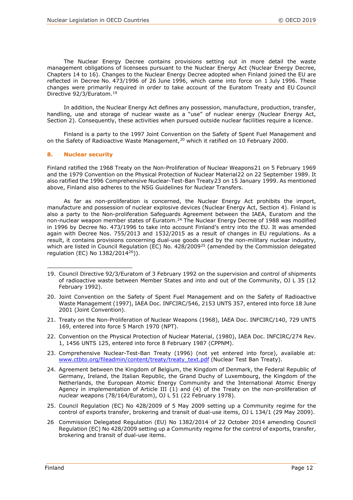The Nuclear Energy Decree contains provisions setting out in more detail the waste management obligations of licensees pursuant to the Nuclear Energy Act (Nuclear Energy Decree, Chapters 14 to 16). Changes to the Nuclear Energy Decree adopted when Finland joined the EU are reflected in Decree No. 473/1996 of 26 June 1996, which came into force on 1 July 1996. These changes were primarily required in order to take account of the Euratom Treaty and EU Council Directive 92/3/Euratom.[19](#page-11-0)

In addition, the Nuclear Energy Act defines any possession, manufacture, production, transfer, handling, use and storage of nuclear waste as a "use" of nuclear energy (Nuclear Energy Act, Section 2). Consequently, these activities when pursued outside nuclear facilities require a licence.

Finland is a party to the 1997 Joint Convention on the Safety of Spent Fuel Management and on the Safety of Radioactive Waste Management, <sup>[20](#page-11-1)</sup> which it ratified on 10 February 2000.

#### **8. Nuclear security**

Finland ratified the 1968 Treaty on the Non-Proliferation of Nuclear Weapons[21](#page-11-2) on 5 February 1969 and the 1979 Convention on the Physical Protection of Nuclear Material[22](#page-11-3) on 22 September 1989. It also ratified the 1996 Comprehensive Nuclear-Test-Ban Treaty[23](#page-11-4) on 15 January 1999. As mentioned above, Finland also adheres to the NSG Guidelines for Nuclear Transfers.

As far as non-proliferation is concerned, the Nuclear Energy Act prohibits the import, manufacture and possession of nuclear explosive devices (Nuclear Energy Act, Section 4). Finland is also a party to the Non-proliferation Safeguards Agreement between the IAEA, Euratom and the non-nuclear weapon member states of Euratom.<sup>[24](#page-11-5)</sup> The Nuclear Energy Decree of 1988 was modified in 1996 by Decree No. 473/1996 to take into account Finland's entry into the EU. It was amended again with Decree Nos. 755/2013 and 1532/2015 as a result of changes in EU regulations. As a result, it contains provisions concerning dual-use goods used by the non-military nuclear industry, which are listed in Council Regulation (EC) No. 428/2009<sup>[25](#page-11-6)</sup> (amended by the Commission delegated regulation (EC) No 1382/2014[26\)](#page-11-7)).

- <span id="page-11-2"></span>21. Treaty on the Non-Proliferation of Nuclear Weapons (1968), IAEA Doc. INFCIRC/140, 729 UNTS 169, entered into force 5 March 1970 (NPT).
- <span id="page-11-3"></span>22. Convention on the Physical Protection of Nuclear Material, (1980), IAEA Doc. INFCIRC/274 Rev. 1, 1456 UNTS 125, entered into force 8 February 1987 (CPPNM).
- <span id="page-11-4"></span>23. Comprehensive Nuclear-Test-Ban Treaty (1996) (not yet entered into force), available at: [www.ctbto.org/fileadmin/content/treaty/treaty\\_text.pdf](file://nasnea/groups/OLC/Legal%20Affairs%20Section%20Files/PUBLICATION%20PROGRAMME/Grand%20Orange/Countries/Finland/2018/www.ctbto.org/fileadmin/content/treaty/treaty_text.pdf) (Nuclear Test Ban Treaty).
- <span id="page-11-5"></span>24. Agreement between the Kingdom of Belgium, the Kingdom of Denmark, the Federal Republic of Germany, Ireland, the Italian Republic, the Grand Duchy of Luxembourg, the Kingdom of the Netherlands, the European Atomic Energy Community and the International Atomic Energy Agency in implementation of Article III (1) and (4) of the Treaty on the non-proliferation of nuclear weapons (78/164/Euratom), OJ L 51 (22 February 1978).
- <span id="page-11-6"></span>25. Council Regulation (EC) No 428/2009 of 5 May 2009 setting up a Community regime for the control of exports transfer, brokering and transit of dual-use items, OJ L 134/1 (29 May 2009).
- <span id="page-11-7"></span>26 Commission Delegated Regulation (EU) No 1382/2014 of 22 October 2014 amending Council Regulation (EC) No 428/2009 setting up a Community regime for the control of exports, transfer, brokering and transit of dual-use items.

<span id="page-11-0"></span>i<br>I 19. Council Directive 92/3/Euratom of 3 February 1992 on the supervision and control of shipments of radioactive waste between Member States and into and out of the Community, OJ L 35 (12 February 1992).

<span id="page-11-1"></span><sup>20.</sup> Joint Convention on the Safety of Spent Fuel Management and on the Safety of Radioactive Waste Management (1997), IAEA Doc. INFCIRC/546, 2153 UNTS 357, entered into force 18 June 2001 (Joint Convention).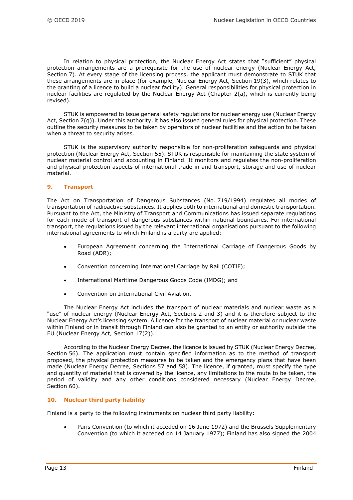In relation to physical protection, the Nuclear Energy Act states that "sufficient" physical protection arrangements are a prerequisite for the use of nuclear energy (Nuclear Energy Act, Section 7). At every stage of the licensing process, the applicant must demonstrate to STUK that these arrangements are in place (for example, Nuclear Energy Act, Section 19(3), which relates to the granting of a licence to build a nuclear facility). General responsibilities for physical protection in nuclear facilities are regulated by the Nuclear Energy Act (Chapter 2(a), which is currently being revised).

STUK is empowered to issue general safety regulations for nuclear energy use (Nuclear Energy Act, Section 7(q)). Under this authority, it has also issued general rules for physical protection. These outline the security measures to be taken by operators of nuclear facilities and the action to be taken when a threat to security arises.

STUK is the supervisory authority responsible for non-proliferation safeguards and physical protection (Nuclear Energy Act, Section 55). STUK is responsible for maintaining the state system of nuclear material control and accounting in Finland. It monitors and regulates the non-proliferation and physical protection aspects of international trade in and transport, storage and use of nuclear material.

#### **9. Transport**

The Act on Transportation of Dangerous Substances (No. 719/1994) regulates all modes of transportation of radioactive substances. It applies both to international and domestic transportation. Pursuant to the Act, the Ministry of Transport and Communications has issued separate regulations for each mode of transport of dangerous substances within national boundaries. For international transport, the regulations issued by the relevant international organisations pursuant to the following international agreements to which Finland is a party are applied:

- European Agreement concerning the International Carriage of Dangerous Goods by Road (ADR);
- Convention concerning International Carriage by Rail (COTIF);
- International Maritime Dangerous Goods Code (IMDG); and
- Convention on International Civil Aviation.

The Nuclear Energy Act includes the transport of nuclear materials and nuclear waste as a "use" of nuclear energy (Nuclear Energy Act, Sections 2 and 3) and it is therefore subject to the Nuclear Energy Act's licensing system. A licence for the transport of nuclear material or nuclear waste within Finland or in transit through Finland can also be granted to an entity or authority outside the EU (Nuclear Energy Act, Section 17(2)).

According to the Nuclear Energy Decree, the licence is issued by STUK (Nuclear Energy Decree, Section 56). The application must contain specified information as to the method of transport proposed, the physical protection measures to be taken and the emergency plans that have been made (Nuclear Energy Decree, Sections 57 and 58). The licence, if granted, must specify the type and quantity of material that is covered by the licence, any limitations to the route to be taken, the period of validity and any other conditions considered necessary (Nuclear Energy Decree, Section 60).

#### **10. Nuclear third party liability**

Finland is a party to the following instruments on nuclear third party liability:

• Paris Convention (to which it acceded on 16 June 1972) and the Brussels Supplementary Convention (to which it acceded on 14 January 1977); Finland has also signed the 2004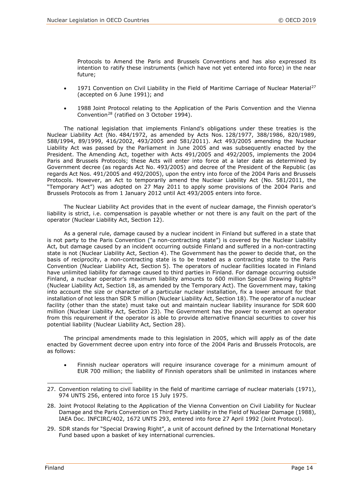Protocols to Amend the Paris and Brussels Conventions and has also expressed its intention to ratify these instruments (which have not yet entered into force) in the near future;

- 1971 Convention on Civil Liability in the Field of Maritime Carriage of Nuclear Material<sup>27</sup> (accepted on 6 June 1991); and
- 1988 Joint Protocol relating to the Application of the Paris Convention and the Vienna Convention[28](#page-13-1) (ratified on 3 October 1994).

The national legislation that implements Finland's obligations under these treaties is the Nuclear Liability Act (No. 484/1972, as amended by Acts Nos. 128/1977, 388/1986, 820/1989, 588/1994, 89/1999, 416/2002, 493/2005 and 581/2011). Act 493/2005 amending the Nuclear Liability Act was passed by the Parliament in June 2005 and was subsequently enacted by the President. The Amending Act, together with Acts 491/2005 and 492/2005, implements the 2004 Paris and Brussels Protocols; these Acts will enter into force at a later date as determined by Government decree (as regards Act No. 493/2005) and decree of the President of the Republic (as regards Act Nos. 491/2005 and 492/2005), upon the entry into force of the 2004 Paris and Brussels Protocols. However, an Act to temporarily amend the Nuclear Liability Act (No. 581/2011, the "Temporary Act") was adopted on 27 May 2011 to apply some provisions of the 2004 Paris and Brussels Protocols as from 1 January 2012 until Act 493/2005 enters into force.

The Nuclear Liability Act provides that in the event of nuclear damage, the Finnish operator's liability is strict, i.e. compensation is payable whether or not there is any fault on the part of the operator (Nuclear Liability Act, Section 12).

As a general rule, damage caused by a nuclear incident in Finland but suffered in a state that is not party to the Paris Convention ("a non-contracting state") is covered by the Nuclear Liability Act, but damage caused by an incident occurring outside Finland and suffered in a non-contracting state is not (Nuclear Liability Act, Section 4). The Government has the power to decide that, on the basis of reciprocity, a non-contracting state is to be treated as a contracting state to the Paris Convention (Nuclear Liability Act, Section 5). The operators of nuclear facilities located in Finland have unlimited liability for damage caused to third parties in Finland. For damage occurring outside Finland, a nuclear operator's maximum liability amounts to 600 million Special Drawing Rights<sup>[29](#page-13-2)</sup> (Nuclear Liability Act, Section 18, as amended by the Temporary Act). The Government may, taking into account the size or character of a particular nuclear installation, fix a lower amount for that installation of not less than SDR 5 million (Nuclear Liability Act, Section 18). The operator of a nuclear facility (other than the state) must take out and maintain nuclear liability insurance for SDR 600 million (Nuclear Liability Act, Section 23). The Government has the power to exempt an operator from this requirement if the operator is able to provide alternative financial securities to cover his potential liability (Nuclear Liability Act, Section 28).

The principal amendments made to this legislation in 2005, which will apply as of the date enacted by Government decree upon entry into force of the 2004 Paris and Brussels Protocols, are as follows:

• Finnish nuclear operators will require insurance coverage for a minimum amount of EUR 700 million; the liability of Finnish operators shall be unlimited in instances where

- <span id="page-13-1"></span>28. Joint Protocol Relating to the Application of the Vienna Convention on Civil Liability for Nuclear Damage and the Paris Convention on Third Party Liability in the Field of Nuclear Damage (1988), IAEA Doc. INFCIRC/402, 1672 UNTS 293, entered into force 27 April 1992 (Joint Protocol).
- <span id="page-13-2"></span>29. SDR stands for "Special Drawing Right", a unit of account defined by the International Monetary Fund based upon a basket of key international currencies.

<span id="page-13-0"></span><sup>27.</sup> Convention relating to civil liability in the field of maritime carriage of nuclear materials (1971), 974 UNTS 256, entered into force 15 July 1975.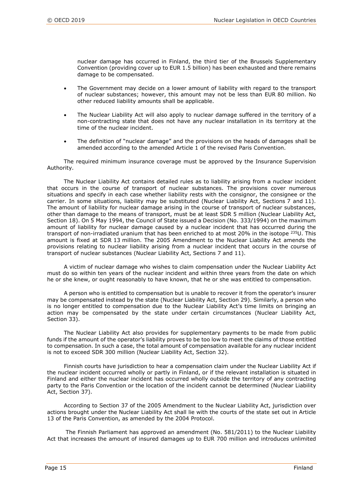nuclear damage has occurred in Finland, the third tier of the Brussels Supplementary Convention (providing cover up to EUR 1.5 billion) has been exhausted and there remains damage to be compensated.

- The Government may decide on a lower amount of liability with regard to the transport of nuclear substances; however, this amount may not be less than EUR 80 million. No other reduced liability amounts shall be applicable.
- The Nuclear Liability Act will also apply to nuclear damage suffered in the territory of a non-contracting state that does not have any nuclear installation in its territory at the time of the nuclear incident.
- The definition of "nuclear damage" and the provisions on the heads of damages shall be amended according to the amended Article 1 of the revised Paris Convention.

The required minimum insurance coverage must be approved by the Insurance Supervision Authority.

The Nuclear Liability Act contains detailed rules as to liability arising from a nuclear incident that occurs in the course of transport of nuclear substances. The provisions cover numerous situations and specify in each case whether liability rests with the consignor, the consignee or the carrier. In some situations, liability may be substituted (Nuclear Liability Act, Sections 7 and 11). The amount of liability for nuclear damage arising in the course of transport of nuclear substances, other than damage to the means of transport, must be at least SDR 5 million (Nuclear Liability Act, Section 18). On 5 May 1994, the Council of State issued a Decision (No. 333/1994) on the maximum amount of liability for nuclear damage caused by a nuclear incident that has occurred during the transport of non-irradiated uranium that has been enriched to at most 20% in the isotope <sup>235</sup>U. This amount is fixed at SDR 13 million. The 2005 Amendment to the Nuclear Liability Act amends the provisions relating to nuclear liability arising from a nuclear incident that occurs in the course of transport of nuclear substances (Nuclear Liability Act, Sections 7 and 11).

A victim of nuclear damage who wishes to claim compensation under the Nuclear Liability Act must do so within ten years of the nuclear incident and within three years from the date on which he or she knew, or ought reasonably to have known, that he or she was entitled to compensation.

A person who is entitled to compensation but is unable to recover it from the operator's insurer may be compensated instead by the state (Nuclear Liability Act, Section 29). Similarly, a person who is no longer entitled to compensation due to the Nuclear Liability Act's time limits on bringing an action may be compensated by the state under certain circumstances (Nuclear Liability Act, Section 33).

The Nuclear Liability Act also provides for supplementary payments to be made from public funds if the amount of the operator's liability proves to be too low to meet the claims of those entitled to compensation. In such a case, the total amount of compensation available for any nuclear incident is not to exceed SDR 300 million (Nuclear Liability Act, Section 32).

Finnish courts have jurisdiction to hear a compensation claim under the Nuclear Liability Act if the nuclear incident occurred wholly or partly in Finland, or if the relevant installation is situated in Finland and either the nuclear incident has occurred wholly outside the territory of any contracting party to the Paris Convention or the location of the incident cannot be determined (Nuclear Liability Act, Section 37).

According to Section 37 of the 2005 Amendment to the Nuclear Liability Act, jurisdiction over actions brought under the Nuclear Liability Act shall lie with the courts of the state set out in Article 13 of the Paris Convention, as amended by the 2004 Protocol.

The Finnish Parliament has approved an amendment (No. 581/2011) to the Nuclear Liability Act that increases the amount of insured damages up to EUR 700 million and introduces unlimited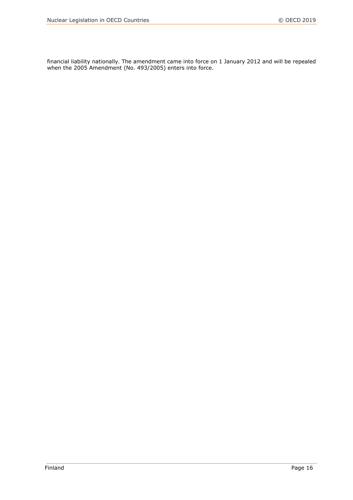financial liability nationally. The amendment came into force on 1 January 2012 and will be repealed when the 2005 Amendment (No. 493/2005) enters into force.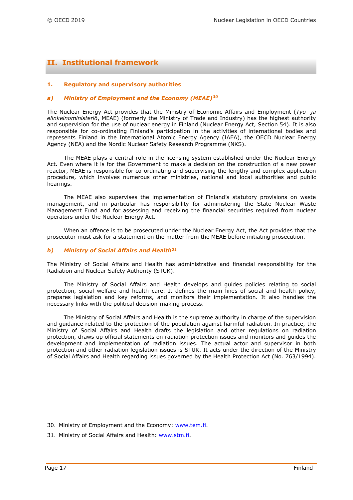### **II. Institutional framework**

#### **1. Regulatory and supervisory authorities**

#### *a) Ministry of Employment and the Economy (MEAE)[30](#page-16-0)*

The Nuclear Energy Act provides that the Ministry of Economic Affairs and Employment (*Työ- ja elinkeinoministeriö*, MEAE) (formerly the Ministry of Trade and Industry) has the highest authority and supervision for the use of nuclear energy in Finland (Nuclear Energy Act, Section 54). It is also responsible for co-ordinating Finland's participation in the activities of international bodies and represents Finland in the International Atomic Energy Agency (IAEA), the OECD Nuclear Energy Agency (NEA) and the Nordic Nuclear Safety Research Programme (NKS).

The MEAE plays a central role in the licensing system established under the Nuclear Energy Act. Even where it is for the Government to make a decision on the construction of a new power reactor, MEAE is responsible for co-ordinating and supervising the lengthy and complex application procedure, which involves numerous other ministries, national and local authorities and public hearings.

The MEAE also supervises the implementation of Finland's statutory provisions on waste management, and in particular has responsibility for administering the State Nuclear Waste Management Fund and for assessing and receiving the financial securities required from nuclear operators under the Nuclear Energy Act.

When an offence is to be prosecuted under the Nuclear Energy Act, the Act provides that the prosecutor must ask for a statement on the matter from the MEAE before initiating prosecution.

#### *b) Ministry of Social Affairs and Health[31](#page-16-1)*

The Ministry of Social Affairs and Health has administrative and financial responsibility for the Radiation and Nuclear Safety Authority (STUK).

The Ministry of Social Affairs and Health develops and guides policies relating to social protection, social welfare and health care. It defines the main lines of social and health policy, prepares legislation and key reforms, and monitors their implementation. It also handles the necessary links with the political decision-making process.

The Ministry of Social Affairs and Health is the supreme authority in charge of the supervision and guidance related to the protection of the population against harmful radiation. In practice, the Ministry of Social Affairs and Health drafts the legislation and other regulations on radiation protection, draws up official statements on radiation protection issues and monitors and guides the development and implementation of radiation issues. The actual actor and supervisor in both protection and other radiation legislation issues is STUK. It acts under the direction of the Ministry of Social Affairs and Health regarding issues governed by the Health Protection Act (No. 763/1994).

<span id="page-16-0"></span>i<br>I 30. Ministry of Employment and the Economy: [www.tem.fi.](file://nasnea/groups/OLC/Legal%20Affairs%20Section%20Files/PUBLICATION%20PROGRAMME/Grand%20Orange/Countries/Finland/2018/www.tem.fi)

<span id="page-16-1"></span><sup>31.</sup> Ministry of Social Affairs and Health: [www.stm.fi.](file://nasnea/groups/OLC/Legal%20Affairs%20Section%20Files/PUBLICATION%20PROGRAMME/Grand%20Orange/Countries/Finland/2018/www.stm.fi)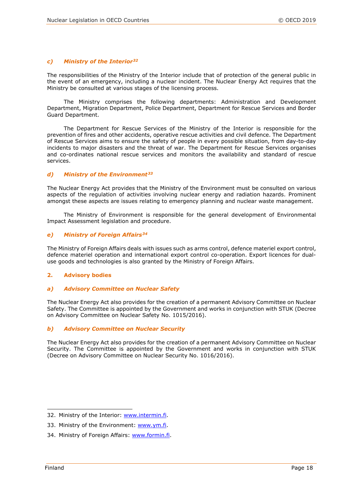#### *c) Ministry of the Interior[32](#page-17-0)*

The responsibilities of the Ministry of the Interior include that of protection of the general public in the event of an emergency, including a nuclear incident. The Nuclear Energy Act requires that the Ministry be consulted at various stages of the licensing process.

The Ministry comprises the following departments: Administration and Development Department, Migration Department, Police Department, Department for Rescue Services and Border Guard Department.

The Department for Rescue Services of the Ministry of the Interior is responsible for the prevention of fires and other accidents, operative rescue activities and civil defence. The Department of Rescue Services aims to ensure the safety of people in every possible situation, from day-to-day incidents to major disasters and the threat of war. The Department for Rescue Services organises and co-ordinates national rescue services and monitors the availability and standard of rescue services.

#### *d) Ministry of the Environment[33](#page-17-1)*

The Nuclear Energy Act provides that the Ministry of the Environment must be consulted on various aspects of the regulation of activities involving nuclear energy and radiation hazards. Prominent amongst these aspects are issues relating to emergency planning and nuclear waste management.

The Ministry of Environment is responsible for the general development of Environmental Impact Assessment legislation and procedure.

#### *e) Ministry of Foreign Affairs[34](#page-17-2)*

The Ministry of Foreign Affairs deals with issues such as arms control, defence materiel export control, defence materiel operation and international export control co-operation. Export licences for dualuse goods and technologies is also granted by the Ministry of Foreign Affairs.

#### **2. Advisory bodies**

#### *a) Advisory Committee on Nuclear Safety*

The Nuclear Energy Act also provides for the creation of a permanent Advisory Committee on Nuclear Safety. The Committee is appointed by the Government and works in conjunction with STUK (Decree on Advisory Committee on Nuclear Safety No. 1015/2016).

#### *b) Advisory Committee on Nuclear Security*

The Nuclear Energy Act also provides for the creation of a permanent Advisory Committee on Nuclear Security. The Committee is appointed by the Government and works in conjunction with STUK (Decree on Advisory Committee on Nuclear Security No. 1016/2016).

<span id="page-17-0"></span><sup>32.</sup> Ministry of the Interior: [www.intermin.fi.](file://nasnea/groups/OLC/Legal%20Affairs%20Section%20Files/PUBLICATION%20PROGRAMME/Grand%20Orange/Countries/Finland/2018/www.intermin.fi)

<span id="page-17-1"></span><sup>33.</sup> Ministry of the Environment: [www.ym.fi.](file://nasnea/groups/OLC/Legal%20Affairs%20Section%20Files/PUBLICATION%20PROGRAMME/Grand%20Orange/Countries/Finland/2018/www.ym.fi)

<span id="page-17-2"></span><sup>34.</sup> Ministry of Foreign Affairs: [www.formin.fi.](file://nasnea/groups/OLC/Legal%20Affairs%20Section%20Files/PUBLICATION%20PROGRAMME/Grand%20Orange/Countries/Finland/2018/www.formin.fi)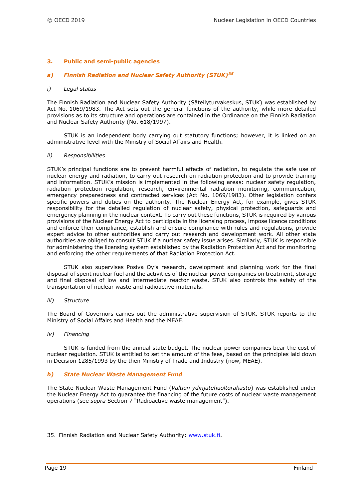#### **3. Public and semi-public agencies**

#### *a) Finnish Radiation and Nuclear Safety Authority (STUK)[35](#page-18-0)*

#### *i) Legal status*

The Finnish Radiation and Nuclear Safety Authority (Säteilyturvakeskus, STUK) was established by Act No. 1069/1983. The Act sets out the general functions of the authority, while more detailed provisions as to its structure and operations are contained in the Ordinance on the Finnish Radiation and Nuclear Safety Authority (No. 618/1997).

STUK is an independent body carrying out statutory functions; however, it is linked on an administrative level with the Ministry of Social Affairs and Health.

#### *ii) Responsibilities*

STUK's principal functions are to prevent harmful effects of radiation, to regulate the safe use of nuclear energy and radiation, to carry out research on radiation protection and to provide training and information. STUK's mission is implemented in the following areas: [nuclear safety regulation,](http://www.stuk.fi/stuk/toiminta/en_GB/ydinturvallisuus/) [radiation protection regulation,](http://www.stuk.fi/stuk/toiminta/en_GB/sateilyturvallisuus/) [research,](http://www.stuk.fi/stuk/toiminta/en_GB/tutkimus/) [environmental radiation monitoring,](http://www.stuk.fi/stuk/toiminta/en_GB/valvonta/) [communication,](http://www.stuk.fi/stuk/toiminta/en_GB/viestinta/) [emergency preparedness](http://www.stuk.fi/stuk/toiminta/en_GB/valmius/) and [contracted services](http://www.stuk.fi/stuk/toiminta/en_GB/palvelut/) (Act No. 1069/1983). Other legislation confers specific powers and duties on the authority. The Nuclear Energy Act, for example, gives STUK responsibility for the detailed regulation of nuclear safety, physical protection, safeguards and emergency planning in the nuclear context. To carry out these functions, STUK is required by various provisions of the Nuclear Energy Act to participate in the licensing process, impose licence conditions and enforce their compliance, establish and ensure compliance with rules and regulations, provide expert advice to other authorities and carry out research and development work. All other state authorities are obliged to consult STUK if a nuclear safety issue arises. Similarly, STUK is responsible for administering the licensing system established by the Radiation Protection Act and for monitoring and enforcing the other requirements of that Radiation Protection Act.

STUK also supervises Posiva Oy's research, development and planning work for the final disposal of spent nuclear fuel and the activities of the nuclear power companies on treatment, storage and final disposal of low and intermediate reactor waste. STUK also controls the safety of the transportation of nuclear waste and radioactive materials.

#### *iii) Structure*

The Board of Governors carries out the administrative supervision of STUK. STUK reports to the Ministry of Social Affairs and Health and the MEAE.

#### *iv) Financing*

STUK is funded from the annual state budget. The nuclear power companies bear the cost of nuclear regulation. STUK is entitled to set the amount of the fees, based on the principles laid down in Decision 1285/1993 by the then Ministry of Trade and Industry (now, MEAE).

#### *b) State Nuclear Waste Management Fund*

The State Nuclear Waste Management Fund (*Valtion ydinjätehuoltorahasto*) was established under the Nuclear Energy Act to guarantee the financing of the future costs of nuclear waste management operations (see *supra* Section 7 "Radioactive waste management").

<span id="page-18-0"></span>i<br>I 35. Finnish Radiation and Nuclear Safety Authority: [www.stuk.fi.](file://nasnea/groups/OLC/Legal%20Affairs%20Section%20Files/PUBLICATION%20PROGRAMME/Grand%20Orange/Countries/Finland/2018/www.stuk.fi)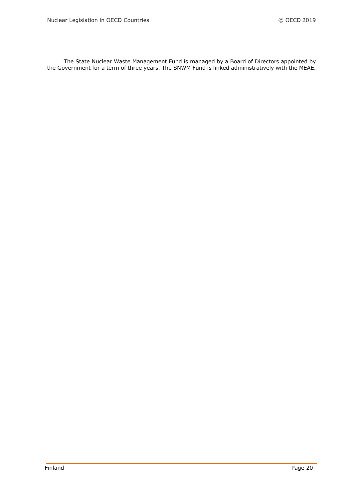The State Nuclear Waste Management Fund is managed by a Board of Directors appointed by the Government for a term of three years. The SNWM Fund is linked administratively with the MEAE.